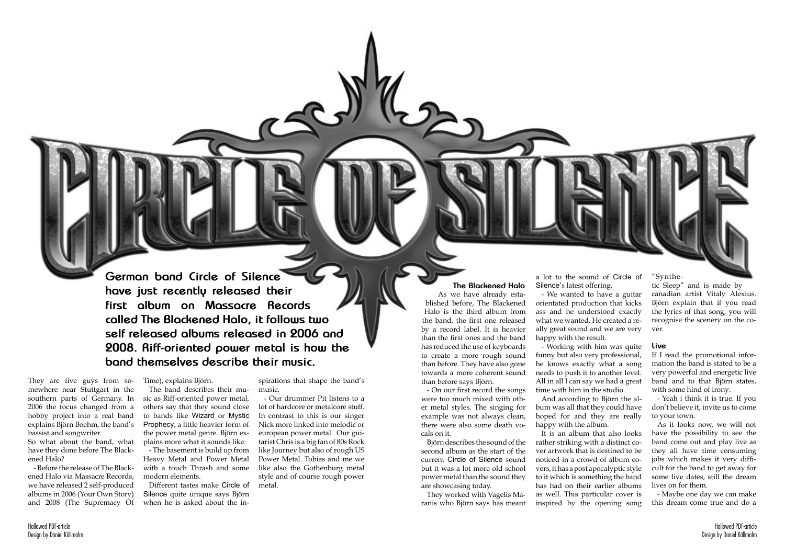

**German band Circle of Silence have just recently released their first album on Massacre Records called The Blackened Halo, it follows two self released albums released in 2006 and 2008. Riff-oriented power metal is how the band themselves describe their music.**

They are five guys from somewhere near Stuttgart in the southern parts of Germany. In 2006 the focus changed from a hobby project into a real band explains Björn Boehm, the band's bassist and songwriter.

> Different tastes make Circle of Silence quite unique says Björn when he is asked about the in-

So what about the band, what have they done before The Blackened Halo?

- Before the release of The Blackened Halo via Massacre Records, we have released 2 self-produced albums in 2006 (Your Own Story) and 2008 (The Supremacy Of

Time), explains Björn.

The band describes their music as Riff-oriented power metal, others say that they sound close to bands like Wizard or Mystic Prophecy, a little heavier form of the power metal genre. Björn explains more what it sounds like:

- The basement is build up from Heavy Metal and Power Metal with a touch Thrash and some modern elements.

spirations that shape the band's music.

- Our drummer Pit listens to a lot of hardcore or metalcore stuff. In contrast to this is our singer Nick more linked into melodic or european power metal. Our guitarist Chris is a big fan of 80s Rock like Journey but also of rough US Power Metal. Tobias and me we like also the Gothenburg metal style and of course rough power metal.

**The Blackened Halo**

As we have already established before, The Blackened Halo is the third album from the band, the first one released by a record label. It is heavier than the first ones and the band has reduced the use of keyboards to create a more rough sound than before. They have also gone towards a more coherent sound than before says Björn.

- On our first record the songs were too much mixed with other metal styles. The singing for example was not always clean, there were also some death vocals on it.

Björn describes the sound of the second album as the start of the current Circle of Silence sound but it was a lot more old school power metal than the sound they are showcasing today.

They worked with Vagelis Maranis who Björn says has meant

a lot to the sound of Circle of Silence's latest offering.

- We wanted to have a guitar orientated production that kicks ass and he understood exactly what we wanted. He created a really great sound and we are very happy with the result.

- Working with him was quite funny but also very professional, he knows exactly what a song needs to push it to another level. All in all I can say we had a great time with him in the studio.

And according to Björn the album was all that they could have hoped for and they are really happy with the album.

It is an album that also looks rather striking with a distinct cover artwork that is destined to be noticed in a crowd of album covers, it has a post apocalyptic style to it which is something the band has had on their earlier albums as well. This particular cover is inspired by the opening song

"Synthe-

tic Sleep" and is made by canadian artist Vitaly Alexius. Björn explain that if you read the lyrics of that song, you will recognise the scenery on the cover.

## **Live**

If I read the promotional information the band is stated to be a very powerful and energetic live band and to that Björn states, with some hind of irony:

- Yeah i think it is true. If you don't believe it, invite us to come to your town.

As it looks now, we will not have the possibility to see the band come out and play live as they all have time consuming jobs which makes it very difficult for the band to get away for some live dates, still the dream lives on for them.

- Maybe one day we can make this dream come true and do a